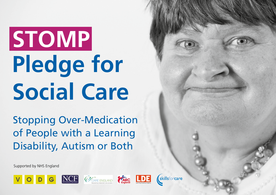# **STOMP Pledge for Social Care**

Stopping Over-Medication of People with a Learning Disability, Autism or Both

Supported by NHS England







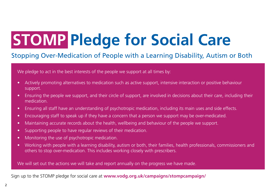## **STOMP Pledge for Social Care**

#### Stopping Over-Medication of People with a Learning Disability, Autism or Both

We pledge to act in the best interests of the people we support at all times by:

- Actively promoting alternatives to medication such as active support, intensive interaction or positive behaviour support.
- Ensuring the people we support, and their circle of support, are involved in decisions about their care, including their medication.
- Ensuring all staff have an understanding of psychotropic medication, including its main uses and side effects.
- Encouraging staff to speak up if they have a concern that a person we support may be over-medicated.
- Maintaining accurate records about the health, wellbeing and behaviour of the people we support.
- Supporting people to have regular reviews of their medication.
- Monitoring the use of psychotropic medication.
- Working with people with a learning disability, autism or both, their families, health professionals, commissioners and others to stop over-medication. This includes working closely with prescribers.

We will set out the actions we will take and report annually on the progress we have made.

Sign up to the STOMP pledge for social care at **[www.vodg.org.uk/campaigns/stompcampaign/](http://www.vodg.org.uk/campaigns/stompcampaign)**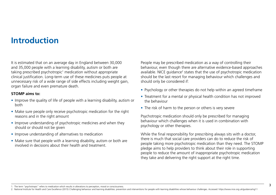## **Introduction**

It is estimated that on an average day in England between 30,000 and 35,000 people with a learning disability, autism or both are taking prescribed psychotropic<sup>1</sup> medication without appropriate clinical justification. Long-term use of these medicines puts people at unnecessary risk of a wide range of side effects including weight gain, organ failure and even premature death.

#### **STOMP aims to:**

- Improve the quality of life of people with a learning disability, autism or both
- Make sure people only receive psychotropic medication for the right reasons and in the right amount
- Improve understanding of psychotropic medicines and when they should or should not be given
- Improve understanding of alternatives to medication
- Make sure that people with a learning disability, autism or both are involved in decisions about their health and treatment.

People may be prescribed medication as a way of controlling their behaviour, even though there are alternative evidence-based approaches available. NICE guidance<sup>2</sup> states that the use of psychotropic medication should be the last resort for managing behaviour which challenges and should only be considered if:

- Psychology or other therapies do not help within an agreed timeframe
- Treatment for a mental or physical health condition has not improved the behaviour
- The risk of harm to the person or others is very severe

Psychotropic medication should only be prescribed for managing behaviour which challenges when it is used in combination with psychology or other therapies.

While the final responsibility for prescribing always sits with a doctor, there is much that social care providers can do to reduce the risk of people taking more psychotropic medication than they need. The STOMP pledge aims to help providers to think about their role in supporting people to reduce the amount of inappropriate psychotropic medication they take and delivering the right support at the right time.

1. The term "psychotropic" refers to medication which results in alterations to perception, mood or consciousness.

2. National Institute for Health and Care Excellence (2015) Challenging behaviour and learning disabilities: prevention and interventions for people with learning disabilities whose behaviour challenges. Accessed: https://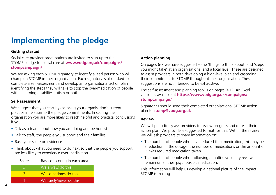## **Implementing the pledge**

#### **Getting started**

Social care provider organisations are invited to sign up to the STOMP pledge for social care at **[www.vodg.org.uk/campaigns/](http://www.vodg.org.uk/campaigns/stompcampaign) [stompcampaign](http://www.vodg.org.uk/campaigns/stompcampaign)/**

We are asking each STOMP signatory to identify a lead person who will champion STOMP in their organisation. Each signatory is also asked to complete a self-assessment and develop an organisational action plan identifying the steps they will take to stop the over-medication of people with a learning disability, autism or both.

#### **Self-assessment**

We suggest that you start by assessing your organisation's current practice in relation to the pledge commitments. In scoring the organisation you are more likely to reach helpful and practical conclusions if you:

- Talk as a team about how you are doing and be honest
- Talk to staff, the people you support and their families
- Base your score on evidence
- Think about what you need to do next so that the people you support are less likely to experience over-medication

| Score | Basis of scoring in each area |
|-------|-------------------------------|
|       | We always do this             |
|       | We sometimes do this          |
|       | We rarely/never do this       |

#### **Action planning**

On pages 6-7 we have suggested some 'things to think about' and 'steps you might take' at an organisational and a local level. These are designed to assist providers in both developing a high-level plan and cascading their commitment to STOMP throughout their organisation. These suggestions are not intended to be exhaustive.

The self-assessment and planning tool is on pages 9-12. An Excel version is available at **[https://www.vodg.org.uk/campaigns/](https://www.vodg.org.uk/campaigns/stompcampaign) [stompcampaign](https://www.vodg.org.uk/campaigns/stompcampaign)/**

Signatories should send their completed organisational STOMP action plan to **[stomp@vodg.org.uk](http://stomp@vodg.org.uk)**

#### **Review**

We will periodically ask providers to review progress and refresh their action plan. We provide a suggested format for this. Within the review we will ask providers to share information on:

- The number of people who have reduced their medication; this may be a reduction in the dosage, the number of medications or the amount of PRN/as required medication taken.
- The number of people who, following a multi-disciplinary review, remain on all their psychotropic medication.

This information will help us develop a national picture of the impact STOMP is making.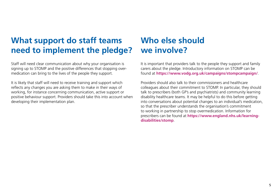## **What support do staff teams need to implement the pledge?**

Staff will need clear communication about why your organisation is signing up to STOMP and the positive differences that stopping overmedication can bring to the lives of the people they support.

It is likely that staff will need to receive training and support which reflects any changes you are asking them to make in their ways of working, for instance concerning communication, active support or positive behaviour support. Providers should take this into account when developing their implementation plan.

## **Who else should we involve?**

It is important that providers talk to the people they support and family carers about the pledge. Introductory information on STOMP can be found at **<https://www.vodg.org.uk/campaigns/stompcampaign>/**.

Providers should also talk to their commissioners and healthcare colleagues about their commitment to STOMP. In particular, they should talk to prescribers (both GP's and psychiatrists) and community learning disability healthcare teams. It may be helpful to do this before getting into conversations about potential changes to an individual's medication, so that the prescriber understands the organisation's commitment to working in partnership to stop overmedication. Information for prescribers can be found at **[https://www.england.nhs.uk/learning](https://www.england.nhs.uk/learning-disabilities/stomp)[disabilities/stomp](https://www.england.nhs.uk/learning-disabilities/stomp)**.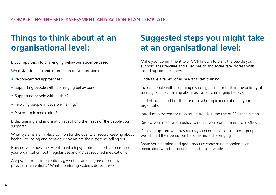## **Things to think about at an organisational level:**

Is your approach to challenging behaviour evidence-based?

What staff training and information do you provide on:

- Person-centred approaches?
- Supporting people with challenging behaviour?
- Supporting people with autism?
- Involving people in decision-making?
- Psychotropic medication?

Is this training and information specific to the needs of the people you support?

What systems are in place to monitor the quality of record keeping about health, wellbeing and behaviour? What are these systems telling you?

How do you know the extent to which psychotropic medication is used in your organisation (both regular use and PRN/as required medication)?

Are psychotropic interventions given the same degree of scrutiny as physical interventions? What monitoring systems do you use?

## **Suggested steps you might take at an organisational level:**

Make your commitment to STOMP known to staff, the people you support, their families and allied health and social care professionals, including commissioners.

Undertake a review of all relevant staff training.

Involve people with a learning disability, autism or both in the delivery of training, such as training about autism or challenging behaviour.

Undertake an audit of the use of psychotropic medication in your organisation.

Introduce a system for monitoring trends in the use of PRN medication.

Review your medication policy to reflect your commitment to STOMP.

Consider upfront what resources you need in place to support people well should their behaviour become more challenging.

Share your learning and good practice concerning stopping overmedication with the social care sector as a whole.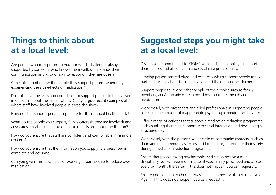## **Things to think about at a local level:**

Are people who may present behaviour which challenges always supported by someone who knows them well, understands their communication and knows how to respond if they are upset?

Can staff describe how the people they support present when they are experiencing the side-effects of medication?

Do staff have the skills and confidence to support people to be involved in decisions about their medication? Can you give recent examples of where staff have involved people in these decisions?

How do staff support people to prepare for their annual health check?

What do the people you support, family carers (if they are involved) and advocates say about their involvement in decisions about medication?

How do you ensure that staff are confident and comfortable in raising a concern?

How do you ensure that the information you supply to a prescriber is complete and accurate?

Can you give recent examples of working in partnership to reduce overmedication?

## **Suggested steps you might take at a local level:**

Discuss your commitment to STOMP with staff, the people you support, their families and allied health and social care professionals.

Develop person-centred plans and resources which support people to take part in decisions about their medication and their annual heath check.

Support people to involve other people of their choice such as family members, and/or an advocate in decisions about their health and medication.

Work closely with prescribers and allied professionals in supporting people to reduce the amount of inappropriate psychotropic medication they take.

Offer a range of activities that support a medication reduction programme, such as talking therapies, support with social interaction and developing a structured day.

Work closely with the person's wider circle of community contacts, such as their landlord, community services and local police, to promote their safety during a medication reduction programme.

Ensure that people taking psychotropic medication receive a multidisciplinary review three months after it was initially prescribed and at least every six months thereafter. If this does not happen, you can request it.

Ensure people's health checks always include a review of their medication. Again, if this does not happen, you can request it.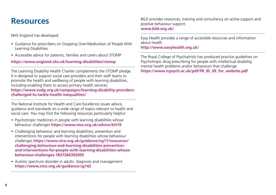## **Resources**

NHS England has developed:

- Guidance for prescribers on Stopping Over-Medication of People With Learning Disabilities
- Accessible advice for patients, families and carers about STOMP

#### **<https://www.england.nhs.uk/learning-disabilities/stomp>**

The Learning Disability Health Charter complements the STOMP pledge. It is designed to support social care providers and their staff teams to promote the health and wellbeing of people with learning disabilities, including enabling them to access primary health services. **[https://www.vodg.org.uk/campaigns/learning-disability-providers](https://www.vodg.org.uk/campaigns/learning-disability-providers-challenged-to-tackle-health-inequali)[challenged-to-tackle-health-inequalities](https://www.vodg.org.uk/campaigns/learning-disability-providers-challenged-to-tackle-health-inequali)/**

The National Institute for Health and Care Excellence issues advice, guidance and standards on a wide range of topics relevant to health and social care. You may find the following resources particularly helpful:

- Psychotropic medicines in people with learning disabilities whose behaviour challenges **<https://www.nice.org.uk/advice/ktt19>**
- Challenging behaviour and learning disabilities; prevention and interventions for people with learning disabilities whose behaviour challenges **[https://www.nice.org.uk/guidance/ng11/resources/](https://www.nice.org.uk/guidance/ng11/resources/challenging-behaviour-and-learning-disabilities-prevention-and-interventions-for-people-with-learning-disabilities-whose-behaviour-challenges-1837266392005) [challenging-behaviour-and-learning-disabilities-prevention](https://www.nice.org.uk/guidance/ng11/resources/challenging-behaviour-and-learning-disabilities-prevention-and-interventions-for-people-with-learning-disabilities-whose-behaviour-challenges-1837266392005)[and-interventions-for-people-with-learning-disabilities-whose](https://www.nice.org.uk/guidance/ng11/resources/challenging-behaviour-and-learning-disabilities-prevention-and-interventions-for-people-with-learning-disabilities-whose-behaviour-challenges-1837266392005)[behaviour-challenges-1837266392005](https://www.nice.org.uk/guidance/ng11/resources/challenging-behaviour-and-learning-disabilities-prevention-and-interventions-for-people-with-learning-disabilities-whose-behaviour-challenges-1837266392005)**
- Autistic spectrum disorder in adults: diagnosis and management **<https://www.nice.org.uk/guidance/cg142>**

BILD provides resources, training and consultancy on active support and positive behaviour support. **[www.bild.org.uk](http://www.bild.org.uk)/**

Easy Health provides a range of accessible resources and information about health.

**<http://www.easyhealth.org.uk>/**

The Royal College of Psychiatrists has produced practice guidelines on Psychotropic drug prescribing for people with intellectual disability, mental health problems and/or behaviours that challenge **[https://www.rcpsych.ac.uk/pdf/FR\\_ID\\_09\\_for\\_website.pdf](https://www.rcpsych.ac.uk/pdf/FR_ID_09_for_website.pdf)**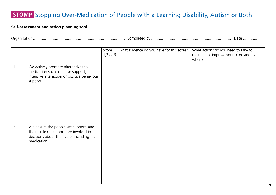| $\sqrt{ }$<br><b>JULIUI</b> | $\sim$<br>. ombletr | Dafe |
|-----------------------------|---------------------|------|
|-----------------------------|---------------------|------|

|                |                                                                                                                                                | Score<br>1,2 or $3$ | What evidence do you have for this score? | What actions do you need to take to<br>maintain or improve your score and by<br>when? |
|----------------|------------------------------------------------------------------------------------------------------------------------------------------------|---------------------|-------------------------------------------|---------------------------------------------------------------------------------------|
| $\overline{1}$ | We actively promote alternatives to<br>medication such as active support,<br>intensive interaction or positive behaviour<br>support.           |                     |                                           |                                                                                       |
| $\overline{2}$ | We ensure the people we support, and<br>their circle of support, are involved in<br>decisions about their care, including their<br>medication. |                     |                                           |                                                                                       |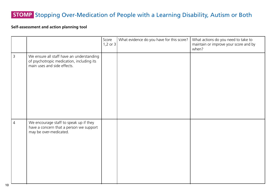|                |                                                                                                                       | Score<br>1,2 or $3$ | What evidence do you have for this score? | What actions do you need to take to<br>maintain or improve your score and by<br>when? |
|----------------|-----------------------------------------------------------------------------------------------------------------------|---------------------|-------------------------------------------|---------------------------------------------------------------------------------------|
| $\overline{3}$ | We ensure all staff have an understanding<br>of psychotropic medication, including its<br>main uses and side effects. |                     |                                           |                                                                                       |
| $\overline{4}$ | We encourage staff to speak up if they<br>have a concern that a person we support<br>may be over-medicated.           |                     |                                           |                                                                                       |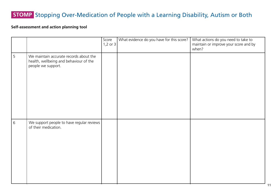|   |                                                                                                        | Score<br>1,2 or $3$ | What evidence do you have for this score? | What actions do you need to take to<br>maintain or improve your score and by<br>when? |
|---|--------------------------------------------------------------------------------------------------------|---------------------|-------------------------------------------|---------------------------------------------------------------------------------------|
| 5 | We maintain accurate records about the<br>health, wellbeing and behaviour of the<br>people we support. |                     |                                           |                                                                                       |
| 6 | We support people to have regular reviews<br>of their medication.                                      |                     |                                           |                                                                                       |